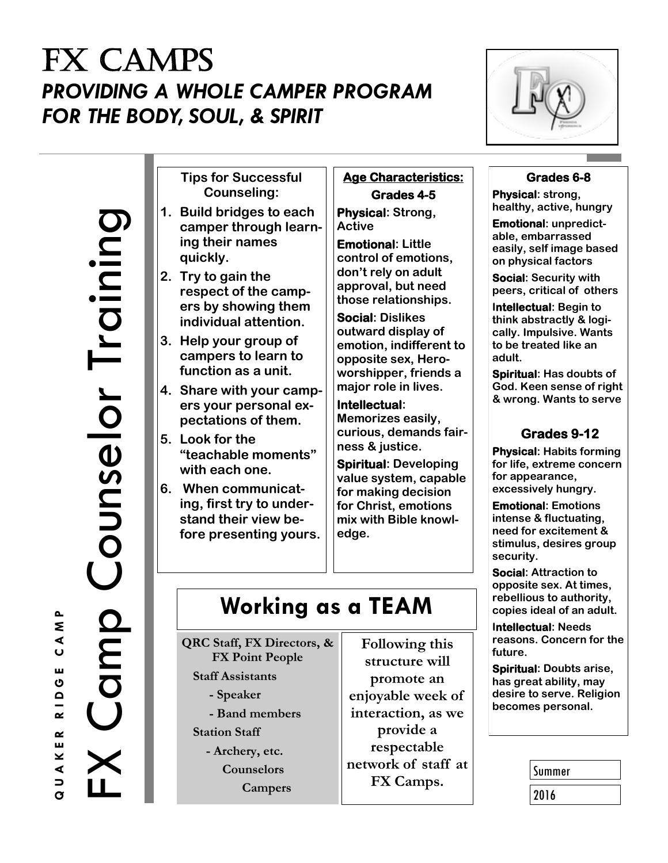## FX CAMPS *PROVIDING A WHOLE CAMPER PROGRAM FOR THE BODY, SOUL, & SPIRIT*



**Tips for Successful Counseling:** 

- **1. Build bridges to each camper through learning their names quickly.**
- **2. Try to gain the respect of the campers by showing them individual attention.**
- **3. Help your group of campers to learn to function as a unit.**
- **4. Share with your campers your personal expectations of them.**
- **5. Look for the "teachable moments" with each one.**
- **6. When communicating, first try to understand their view before presenting yours.**

#### **Age Characteristics: Grades 4-5**

**Physical: Strong, Active**

**Emotional: Little control of emotions, don't rely on adult approval, but need those relationships.**

**Social: Dislikes outward display of emotion, indifferent to opposite sex, Heroworshipper, friends a major role in lives.**

**Intellectual: Memorizes easily, curious, demands fairness & justice.**

**Spiritual: Developing value system, capable for making decision for Christ, emotions mix with Bible knowledge.** 

# **Working as a TEAM**

**QRC Staff, FX Directors, & FX Point People Staff Assistants**

 **- Speaker - Band members**

- **Station Staff**
	- **- Archery, etc. Counselors Campers**

**Following this structure will promote an enjoyable week of interaction, as we provide a respectable network of staff at FX Camps.**

### **Grades 6-8**

**Physical: strong, healthy, active, hungry**

**Emotional: unpredictable, embarrassed easily, self image based on physical factors**

**Social: Security with peers, critical of others**

**Intellectual: Begin to think abstractly & logically. Impulsive. Wants to be treated like an adult.**

**Spiritual: Has doubts of God. Keen sense of right & wrong. Wants to serve**

### **Grades 9-12**

**Physical: Habits forming for life, extreme concern for appearance, excessively hungry.**

**Emotional: Emotions intense & fluctuating, need for excitement & stimulus, desires group security.**

**Social: Attraction to opposite sex. At times, rebellious to authority, copies ideal of an adult.**

**Intellectual: Needs reasons. Concern for the future.** 

**Spiritual: Doubts arise, has great ability, may desire to serve. Religion becomes personal.**

| Summer |  |
|--------|--|
| 2016   |  |

Training

Counselor

O<br>C<br>O<br>O<br>O<br>O<br>O<br>O<br>O<br>O<br>O<br>O<br>O<br>O<br>O<br><br>O<br><br>0<br>O<br>O<br>O<br>O<br>0<br>O<br>0<br>O<br>0<br>O<br>0<br>0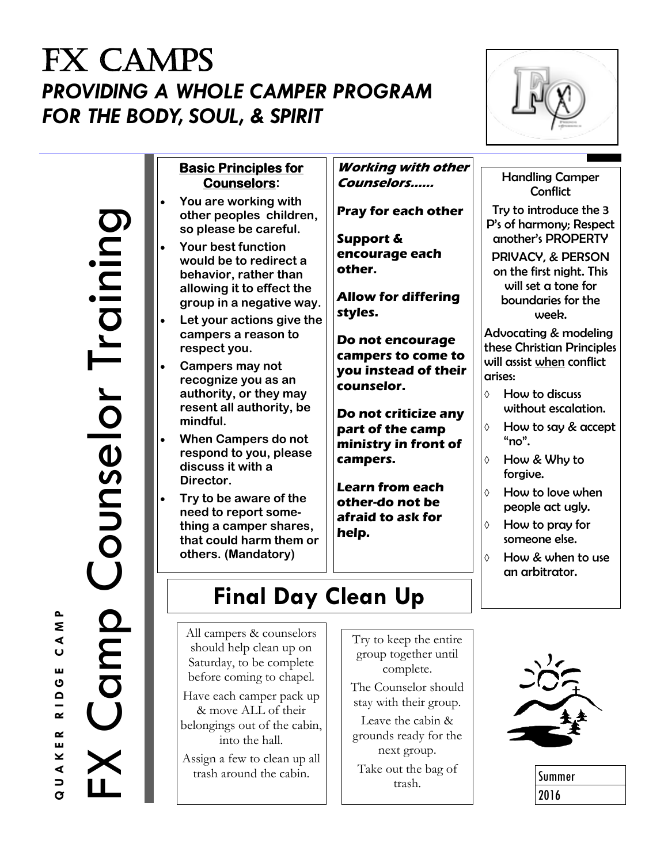# FX CAMPS *PROVIDING A WHOLE CAMPER PROGRAM FOR THE BODY, SOUL, & SPIRIT*



**Basic Principles for Counselors:**

- **You are working with other peoples children, so please be careful.**
- **Your best function would be to redirect a behavior, rather than allowing it to effect the group in a negative way.**
- **Let your actions give the campers a reason to respect you.**
- **Campers may not recognize you as an authority, or they may resent all authority, be mindful.**
- **When Campers do not respond to you, please discuss it with a Director.**
- **Try to be aware of the need to report something a camper shares, that could harm them or others. (Mandatory)**

All campers & counselors should help clean up on Saturday, to be complete before coming to chapel. Have each camper pack up & move ALL of their belongings out of the cabin, into the hall. Assign a few to clean up all trash around the cabin.

**Working with other Counselors……**

**Pray for each other**

**Support & encourage each other.**

**Allow for differing styles.**

**Do not encourage campers to come to you instead of their counselor.**

**Do not criticize any part of the camp ministry in front of campers.**

**Learn from each other-do not be afraid to ask for help.**

> group together until complete. The Counselor should stay with their group. Leave the cabin & grounds ready for the next group. Take out the bag of trash.

**Final Day Clean Up** 

#### Handling Camper **Conflict**

Try to introduce the 3 P's of harmony; Respect another's PROPERTY

PRIVACY, & PERSON on the first night. This will set a tone for boundaries for the week.

Advocating & modeling these Christian Principles will assist when conflict arises:

- $\Diamond$  How to discuss without escalation.
- How to say & accept " $no$ ".
- How & Why to forgive.
- How to love when people act ugly.
- $\Diamond$  How to pray for someone else.
- How & when to use an arbitrator.

Try to keep the entire

Summer 2016

auaker einge<br>FX Camp Counselor Training Training Counselor OMDU

 $\mathbf{r}$ Σ  $\blacktriangleleft$  $\overline{U}$ ш ပ  $\mathbf \Omega$  $\sim$  $\sim$ ш ⊻ ◀  $\overline{\phantom{m}}$  $\alpha$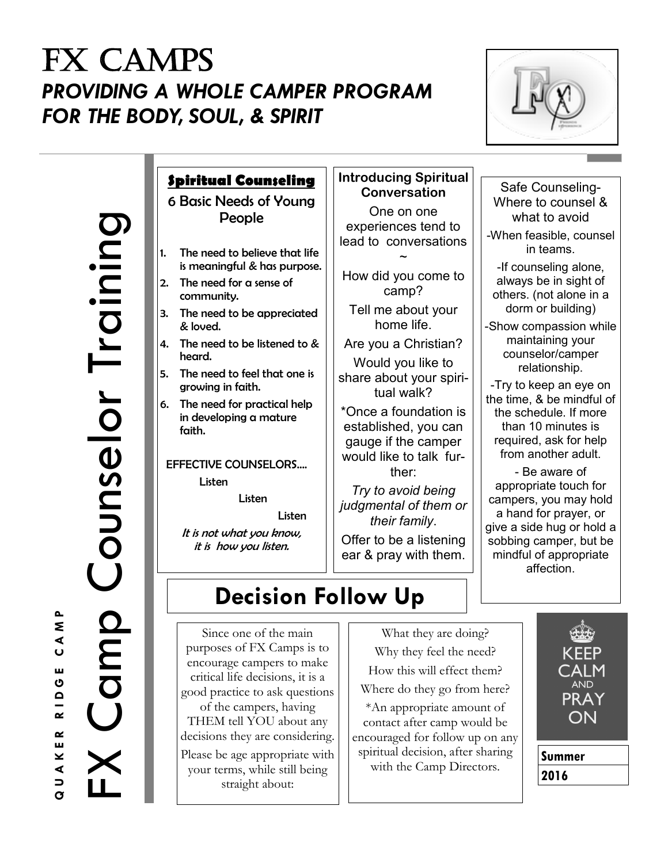## FX CAMPS *PROVIDING A WHOLE CAMPER PROGRAM FOR THE BODY, SOUL, & SPIRIT*



Training FX Camp Counselor Training Counselor OMD

### **Spiritual Counseling**

6 Basic Needs of Young People

- 1. The need to believe that life is meaningful & has purpose.
- 2. The need for a sense of community.
- 3. The need to be appreciated & loved.
- 4. The need to be listened to & heard.
- 5. The need to feel that one is growing in faith.
- 6. The need for practical help in developing a mature faith.

#### EFFECTIVE COUNSELORS…. Listen

Listen

Listen

It is not what you know, it is how you listen.

#### **Introducing Spiritual Conversation**

One on one experiences tend to lead to conversations

How did you come to camp?

 $\tilde{\phantom{0}}$ 

Tell me about your home life.

Are you a Christian? Would you like to share about your spiritual walk?

\*Once a foundation is established, you can gauge if the camper would like to talk further:

*Try to avoid being judgmental of them or their family*. Offer to be a listening ear & pray with them.

#### Safe Counseling-Where to counsel & what to avoid -When feasible, counsel in teams.

-If counseling alone, always be in sight of others. (not alone in a dorm or building)

-Show compassion while maintaining your counselor/camper relationship.

-Try to keep an eye on the time, & be mindful of the schedule. If more than 10 minutes is required, ask for help from another adult.

- Be aware of appropriate touch for campers, you may hold a hand for prayer, or give a side hug or hold a sobbing camper, but be mindful of appropriate affection.

## **Decision Follow Up**

Since one of the main purposes of FX Camps is to encourage campers to make critical life decisions, it is a good practice to ask questions of the campers, having THEM tell YOU about any

decisions they are considering. Please be age appropriate with your terms, while still being straight about:

What they are doing? Why they feel the need? How this will effect them? Where do they go from here?

\*An appropriate amount of contact after camp would be encouraged for follow up on any spiritual decision, after sharing with the Camp Directors.





 $\sim$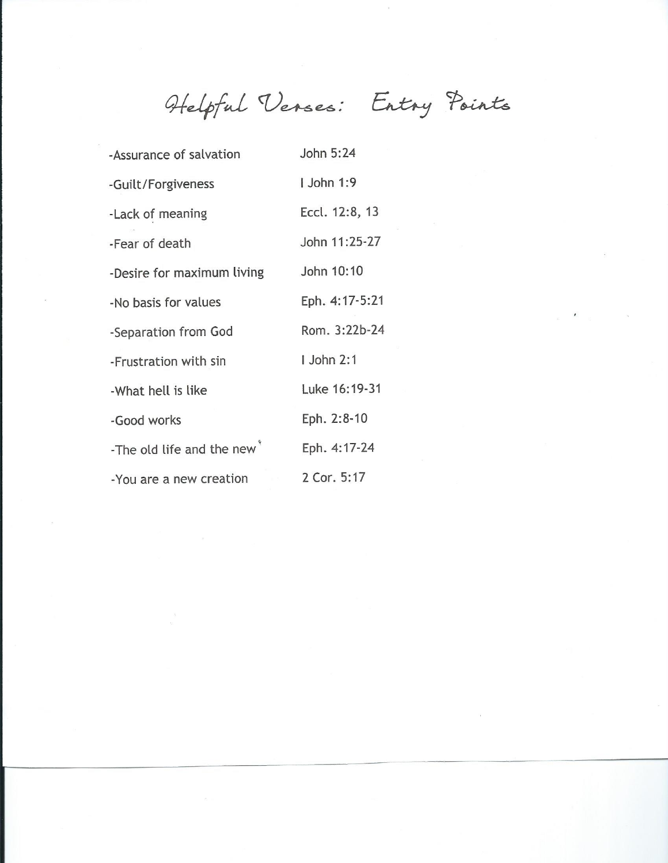Helpful Verses: Entry Points

| -Assurance of salvation                | John 5:24       |
|----------------------------------------|-----------------|
| -Guilt/Forgiveness                     | <b>John 1:9</b> |
| -Lack of meaning                       | Eccl. 12:8, 13  |
| -Fear of death                         | John 11:25-27   |
| -Desire for maximum living             | John 10:10      |
| -No basis for values                   | Eph. 4:17-5:21  |
| -Separation from God                   | Rom. 3:22b-24   |
| -Frustration with sin                  | <b>John 2:1</b> |
| -What hell is like                     | Luke 16:19-31   |
| -Good works                            | Eph. 2:8-10     |
| -The old life and the new <sup>®</sup> | Eph. 4:17-24    |
| -You are a new creation                | 2 Cor. 5:17     |